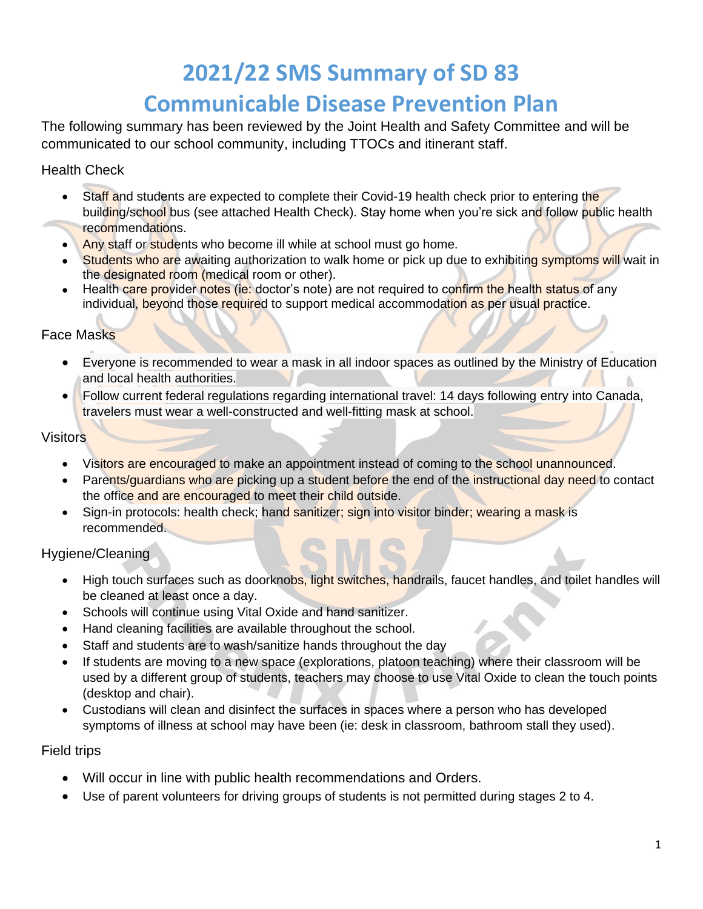# **2021/22 SMS Summary of SD 83**

# **Communicable Disease Prevention Plan**

The following summary has been reviewed by the Joint Health and Safety Committee and will be communicated to our school community, including TTOCs and itinerant staff.

Health Check

- Staff and students are expected to complete their Covid-19 health check prior to entering the building/school bus (see attached Health Check). Stay home when you're sick and follow public health recommendations.
- Any staff or students who become ill while at school must go home.
- Students who are awaiting authorization to walk home or pick up due to exhibiting symptoms will wait in the designated room (medical room or other).
- Health care provider notes (ie: doctor's note) are not required to confirm the health status of any individual, beyond those required to support medical accommodation as per usual practice.

# Face Masks

- Everyone is recommended to wear a mask in all indoor spaces as outlined by the Ministry of Education and local health authorities.
- Follow current federal regulations regarding international travel: 14 days following entry into Canada, travelers must wear a well-constructed and well-fitting mask at school.

**Visitors** 

- Visitors are encouraged to make an appointment instead of coming to the school unannounced.
- Parents/guardians who are picking up a student before the end of the instructional day need to contact the office and are encouraged to meet their child outside.
- Sign-in protocols: health check; hand sanitizer; sign into visitor binder; wearing a mask is recommended.

Hygiene/Cleaning

- High touch surfaces such as doorknobs, light switches, handrails, faucet handles, and toilet handles will be cleaned at least once a day.
- Schools will continue using Vital Oxide and hand sanitizer.
- Hand cleaning facilities are available throughout the school.
- Staff and students are to wash/sanitize hands throughout the day
- If students are moving to a new space (explorations, platoon teaching) where their classroom will be used by a different group of students, teachers may choose to use Vital Oxide to clean the touch points (desktop and chair).
- Custodians will clean and disinfect the surfaces in spaces where a person who has developed symptoms of illness at school may have been (ie: desk in classroom, bathroom stall they used).

Field trips

- Will occur in line with public health recommendations and Orders.
- Use of parent volunteers for driving groups of students is not permitted during stages 2 to 4.